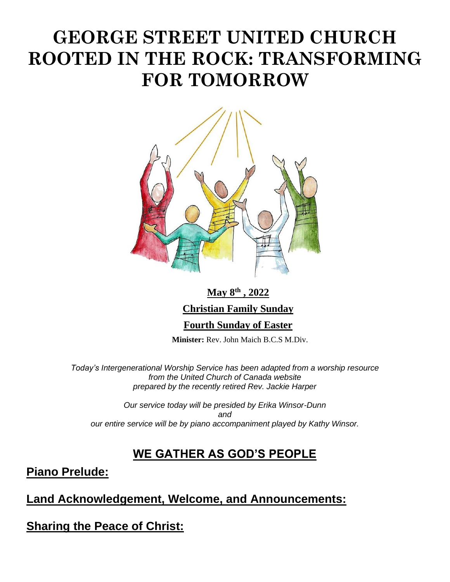# **GEORGE STREET UNITED CHURCH ROOTED IN THE ROCK: TRANSFORMING FOR TOMORROW**



# **May 8th , 2022 Christian Family Sunday Fourth Sunday of Easter**

 **Minister:** Rev. John Maich B.C.S M.Div.

*Today's Intergenerational Worship Service has been adapted from a worship resource from the United Church of Canada website prepared by the recently retired Rev. Jackie Harper*

*Our service today will be presided by Erika Winsor-Dunn and our entire service will be by piano accompaniment played by Kathy Winsor.* 

## **WE GATHER AS GOD'S PEOPLE**

**Piano Prelude:**

#### **Land Acknowledgement, Welcome, and Announcements:**

**Sharing the Peace of Christ:**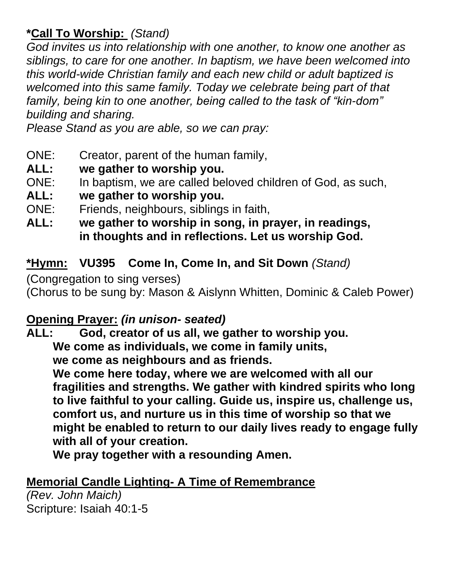## **\*Call To Worship:** *(Stand)*

*God invites us into relationship with one another, to know one another as siblings, to care for one another. In baptism, we have been welcomed into this world-wide Christian family and each new child or adult baptized is welcomed into this same family. Today we celebrate being part of that family, being kin to one another, being called to the task of "kin-dom" building and sharing.* 

*Please Stand as you are able, so we can pray:*

- ONE: Creator, parent of the human family,
- **ALL: we gather to worship you.**
- ONE: In baptism, we are called beloved children of God, as such,
- **ALL: we gather to worship you.**
- ONE: Friends, neighbours, siblings in faith,
- **ALL: we gather to worship in song, in prayer, in readings, in thoughts and in reflections. Let us worship God.**

## **\*Hymn: VU395 Come In, Come In, and Sit Down** *(Stand)*

(Congregation to sing verses)

(Chorus to be sung by: Mason & Aislynn Whitten, Dominic & Caleb Power)

# **Opening Prayer:** *(in unison- seated)*

**ALL: God, creator of us all, we gather to worship you. We come as individuals, we come in family units, we come as neighbours and as friends.**

**We come here today, where we are welcomed with all our fragilities and strengths. We gather with kindred spirits who long to live faithful to your calling. Guide us, inspire us, challenge us, comfort us, and nurture us in this time of worship so that we might be enabled to return to our daily lives ready to engage fully with all of your creation.** 

**We pray together with a resounding Amen.** 

# **Memorial Candle Lighting- A Time of Remembrance**

*(Rev. John Maich)* Scripture: Isaiah 40:1-5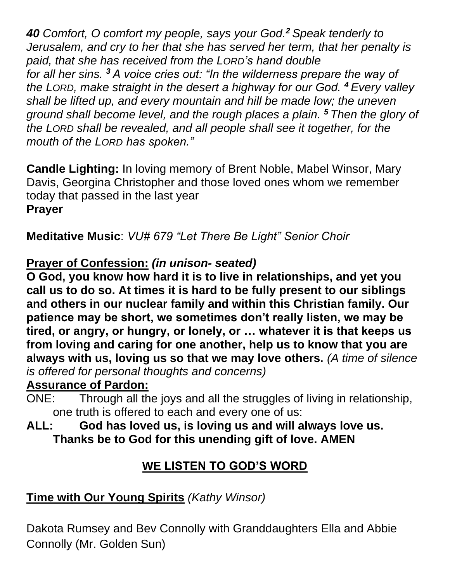*40 Comfort, O comfort my people, says your God.<sup>2</sup> Speak tenderly to Jerusalem, and cry to her that she has served her term, that her penalty is paid, that she has received from the LORD's hand double for all her sins. <sup>3</sup> A voice cries out: "In the wilderness prepare the way of the LORD, make straight in the desert a highway for our God. <sup>4</sup> Every valley shall be lifted up, and every mountain and hill be made low; the uneven ground shall become level, and the rough places a plain. <sup>5</sup> Then the glory of the LORD shall be revealed, and all people shall see it together, for the mouth of the LORD has spoken."*

**Candle Lighting:** In loving memory of Brent Noble, Mabel Winsor, Mary Davis, Georgina Christopher and those loved ones whom we remember today that passed in the last year **Prayer**

**Meditative Music**: *VU# 679 "Let There Be Light" Senior Choir*

## **Prayer of Confession:** *(in unison- seated)*

**O God, you know how hard it is to live in relationships, and yet you call us to do so. At times it is hard to be fully present to our siblings and others in our nuclear family and within this Christian family. Our patience may be short, we sometimes don't really listen, we may be tired, or angry, or hungry, or lonely, or … whatever it is that keeps us from loving and caring for one another, help us to know that you are always with us, loving us so that we may love others.** *(A time of silence is offered for personal thoughts and concerns)* 

#### **Assurance of Pardon:**

ONE: Through all the joys and all the struggles of living in relationship, one truth is offered to each and every one of us:

**ALL: God has loved us, is loving us and will always love us. Thanks be to God for this unending gift of love. AMEN**

# **WE LISTEN TO GOD'S WORD**

# **Time with Our Young Spirits** *(Kathy Winsor)*

Dakota Rumsey and Bev Connolly with Granddaughters Ella and Abbie Connolly (Mr. Golden Sun)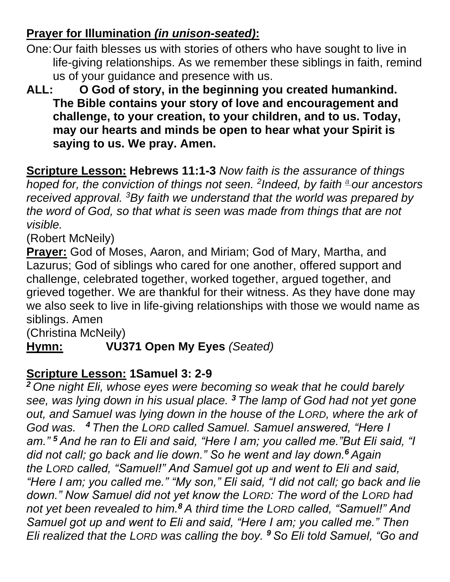# **Prayer for Illumination** *(in unison-seated)***:**

- One:Our faith blesses us with stories of others who have sought to live in life-giving relationships. As we remember these siblings in faith, remind us of your guidance and presence with us.
- **ALL: O God of story, in the beginning you created humankind. The Bible contains your story of love and encouragement and challenge, to your creation, to your children, and to us. Today, may our hearts and minds be open to hear what your Spirit is saying to us. We pray. Amen.**

**Scripture Lesson: Hebrews 11:1-3** *Now faith is the assurance of things hoped for, the conviction of things not seen. <sup>2</sup> Indeed, by faith [a](http://www.oxfordbiblicalstudies.com/article/book/obso-9780195288803/obso-9780195288803-div1-1377#obso-9780195288803-note-5425) our ancestors received approval. <sup>3</sup>By faith we understand that the world was prepared by the word of God, so that what is seen was made from things that are not visible.* 

(Robert McNeily)

**Prayer:** God of Moses, Aaron, and Miriam; God of Mary, Martha, and Lazurus; God of siblings who cared for one another, offered support and challenge, celebrated together, worked together, argued together, and grieved together. We are thankful for their witness. As they have done may we also seek to live in life-giving relationships with those we would name as siblings. Amen

(Christina McNeily)

**Hymn: VU371 Open My Eyes** *(Seated)*

## **Scripture Lesson: 1Samuel 3: 2-9**

*<sup>2</sup> One night Eli, whose eyes were becoming so weak that he could barely see, was lying down in his usual place. <sup>3</sup> The lamp of God had not yet gone out, and Samuel was lying down in the house of the LORD, where the ark of God was. <sup>4</sup> Then the LORD called Samuel. Samuel answered, "Here I am." <sup>5</sup> And he ran to Eli and said, "Here I am; you called me."But Eli said, "I did not call; go back and lie down." So he went and lay down.<sup>6</sup> Again the LORD called, "Samuel!" And Samuel got up and went to Eli and said, "Here I am; you called me." "My son," Eli said, "I did not call; go back and lie down." Now Samuel did not yet know the LORD: The word of the LORD had not yet been revealed to him.<sup>8</sup> A third time the LORD called, "Samuel!" And Samuel got up and went to Eli and said, "Here I am; you called me." Then Eli realized that the LORD was calling the boy. <sup>9</sup> So Eli told Samuel, "Go and*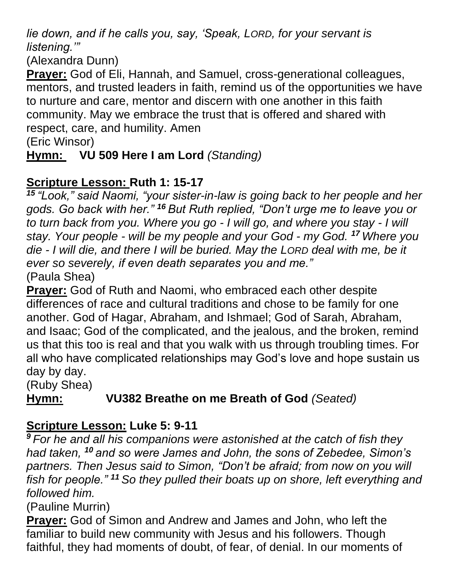*lie down, and if he calls you, say, 'Speak, LORD, for your servant is listening.'"* 

(Alexandra Dunn)

**Prayer:** God of Eli, Hannah, and Samuel, cross-generational colleagues, mentors, and trusted leaders in faith, remind us of the opportunities we have to nurture and care, mentor and discern with one another in this faith community. May we embrace the trust that is offered and shared with respect, care, and humility. Amen

(Eric Winsor)

**Hymn: VU 509 Here I am Lord** *(Standing)*

## **Scripture Lesson: Ruth 1: 15-17**

*<sup>15</sup> "Look," said Naomi, "your sister-in-law is going back to her people and her gods. Go back with her." <sup>16</sup> But Ruth replied, "Don't urge me to leave you or to turn back from you. Where you go - I will go, and where you stay - I will stay. Your people - will be my people and your God - my God. <sup>17</sup> Where you die - I will die, and there I will be buried. May the LORD deal with me, be it ever so severely, if even death separates you and me."* (Paula Shea)

**Prayer:** God of Ruth and Naomi, who embraced each other despite differences of race and cultural traditions and chose to be family for one another. God of Hagar, Abraham, and Ishmael; God of Sarah, Abraham, and Isaac; God of the complicated, and the jealous, and the broken, remind us that this too is real and that you walk with us through troubling times. For all who have complicated relationships may God's love and hope sustain us day by day.

(Ruby Shea)

# **Hymn: VU382 Breathe on me Breath of God** *(Seated)*

## **Scripture Lesson: Luke 5: 9-11**

*<sup>9</sup> For he and all his companions were astonished at the catch of fish they had taken, <sup>10</sup> and so were James and John, the sons of Zebedee, Simon's partners. Then Jesus said to Simon, "Don't be afraid; from now on you will fish for people." <sup>11</sup> So they pulled their boats up on shore, left everything and followed him.*

(Pauline Murrin)

**Prayer:** God of Simon and Andrew and James and John, who left the familiar to build new community with Jesus and his followers. Though faithful, they had moments of doubt, of fear, of denial. In our moments of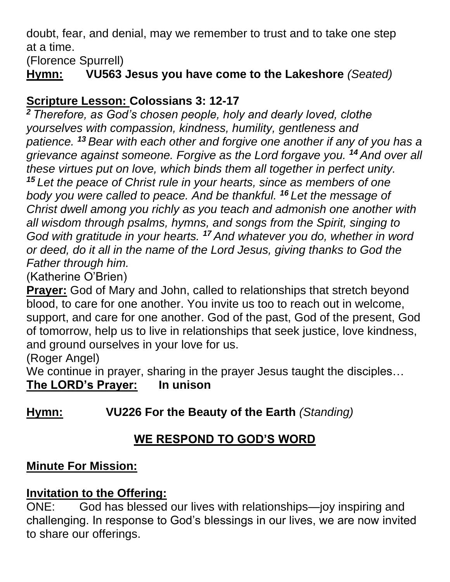doubt, fear, and denial, may we remember to trust and to take one step at a time.

(Florence Spurrell)

**Hymn: VU563 Jesus you have come to the Lakeshore** *(Seated)*

## **Scripture Lesson: Colossians 3: 12-17**

*<sup>2</sup> Therefore, as God's chosen people, holy and dearly loved, clothe yourselves with compassion, kindness, humility, gentleness and patience. <sup>13</sup> Bear with each other and forgive one another if any of you has a grievance against someone. Forgive as the Lord forgave you. <sup>14</sup> And over all these virtues put on love, which binds them all together in perfect unity. <sup>15</sup> Let the peace of Christ rule in your hearts, since as members of one body you were called to peace. And be thankful. <sup>16</sup> Let the message of Christ dwell among you richly as you teach and admonish one another with all wisdom through psalms, hymns, and songs from the Spirit, singing to God with gratitude in your hearts. <sup>17</sup> And whatever you do, whether in word or deed, do it all in the name of the Lord Jesus, giving thanks to God the Father through him.*

(Katherine O'Brien)

**Prayer:** God of Mary and John, called to relationships that stretch beyond blood, to care for one another. You invite us too to reach out in welcome, support, and care for one another. God of the past, God of the present, God of tomorrow, help us to live in relationships that seek justice, love kindness, and ground ourselves in your love for us.

(Roger Angel)

We continue in prayer, sharing in the prayer Jesus taught the disciples…

#### **The LORD's Prayer: In unison**

**Hymn: VU226 For the Beauty of the Earth** *(Standing)*

# **WE RESPOND TO GOD'S WORD**

## **Minute For Mission:**

#### **Invitation to the Offering:**

ONE: God has blessed our lives with relationships—joy inspiring and challenging. In response to God's blessings in our lives, we are now invited to share our offerings.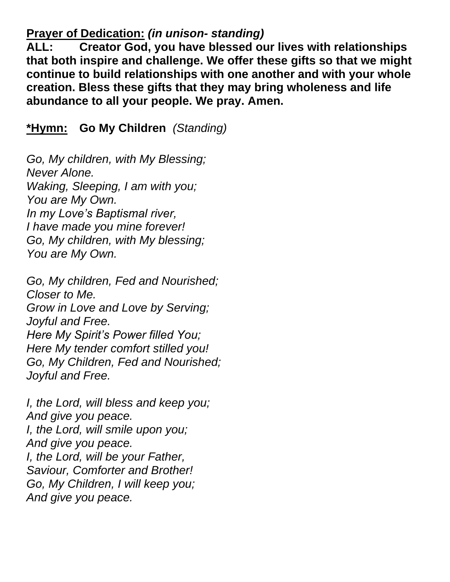#### **Prayer of Dedication:** *(in unison- standing)*

**ALL: Creator God, you have blessed our lives with relationships that both inspire and challenge. We offer these gifts so that we might continue to build relationships with one another and with your whole creation. Bless these gifts that they may bring wholeness and life abundance to all your people. We pray. Amen.**

**\*Hymn: Go My Children** *(Standing)*

*Go, My children, with My Blessing; Never Alone. Waking, Sleeping, I am with you; You are My Own. In my Love's Baptismal river, I have made you mine forever! Go, My children, with My blessing; You are My Own.*

*Go, My children, Fed and Nourished; Closer to Me. Grow in Love and Love by Serving; Joyful and Free. Here My Spirit's Power filled You; Here My tender comfort stilled you! Go, My Children, Fed and Nourished; Joyful and Free.*

*I, the Lord, will bless and keep you; And give you peace. I, the Lord, will smile upon you; And give you peace. I, the Lord, will be your Father, Saviour, Comforter and Brother! Go, My Children, I will keep you; And give you peace.*